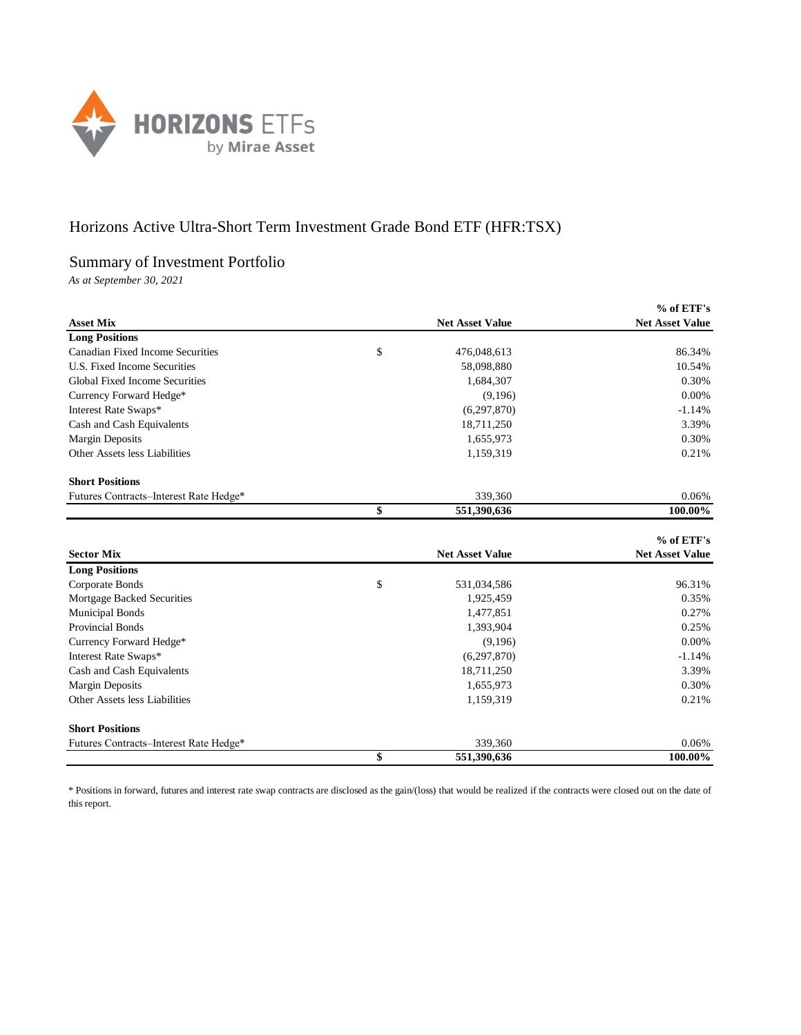

## Horizons Active Ultra-Short Term Investment Grade Bond ETF (HFR:TSX)

## Summary of Investment Portfolio

*As at September 30, 2021*

|                                         |                        | % of ETF's             |
|-----------------------------------------|------------------------|------------------------|
| <b>Asset Mix</b>                        | <b>Net Asset Value</b> | <b>Net Asset Value</b> |
| <b>Long Positions</b>                   |                        |                        |
| <b>Canadian Fixed Income Securities</b> | \$<br>476,048,613      | 86.34%                 |
| U.S. Fixed Income Securities            | 58,098,880             | 10.54%                 |
| Global Fixed Income Securities          | 1,684,307              | 0.30%                  |
| Currency Forward Hedge*                 | (9,196)                | 0.00%                  |
| Interest Rate Swaps*                    | (6, 297, 870)          | $-1.14%$               |
| Cash and Cash Equivalents               | 18,711,250             | 3.39%                  |
| <b>Margin Deposits</b>                  | 1,655,973              | 0.30%                  |
| Other Assets less Liabilities           | 1,159,319              | 0.21%                  |
| <b>Short Positions</b>                  |                        |                        |
| Futures Contracts-Interest Rate Hedge*  | 339,360                | 0.06%                  |
|                                         | \$<br>551,390,636      | 100.00%                |
|                                         |                        |                        |
|                                         |                        | % of ETF's             |
| <b>Sector Mix</b>                       | <b>Net Asset Value</b> | <b>Net Asset Value</b> |
| <b>Long Positions</b>                   |                        |                        |
| Corporate Bonds                         | \$<br>531,034,586      | 96.31%                 |
| Mortgage Backed Securities              | 1,925,459              | 0.35%                  |
| <b>Municipal Bonds</b>                  | 1,477,851              | 0.27%                  |
| Provincial Bonds                        | 1,393,904              | 0.25%                  |
| Currency Forward Hedge*                 | (9,196)                | 0.00%                  |
| Interest Rate Swaps*                    | (6,297,870)            | $-1.14%$               |
| Cash and Cash Equivalents               | 18,711,250             | 3.39%                  |
| <b>Margin Deposits</b>                  | 1,655,973              | 0.30%                  |
| Other Assets less Liabilities           | 1,159,319              | 0.21%                  |
| <b>Short Positions</b>                  |                        |                        |
| Futures Contracts-Interest Rate Hedge*  | 339,360                | 0.06%                  |
|                                         | \$<br>551,390,636      | 100.00%                |

\* Positions in forward, futures and interest rate swap contracts are disclosed as the gain/(loss) that would be realized if the contracts were closed out on the date of this report.